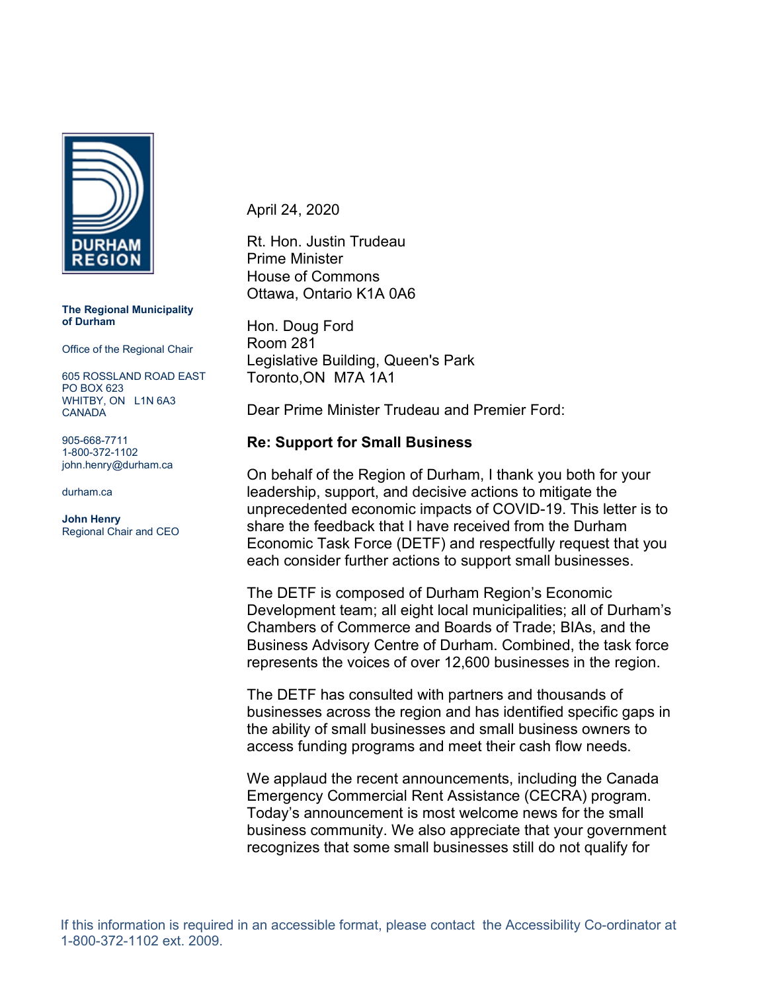

**The Regional Municipality of Durham**

Office of the Regional Chair

605 ROSSLAND ROAD EAST PO BOX 623 WHITBY, ON L1N 6A3 CANADA

905-668-7711 1-800-372-1102 john.henry@durham.ca

durham.ca

**John Henry** Regional Chair and CEO April 24, 2020

Rt. Hon. Justin Trudeau Prime Minister House of Commons Ottawa, Ontario K1A 0A6

Hon. Doug Ford Room 281 Legislative Building, Queen's Park Toronto,ON M7A 1A1

Dear Prime Minister Trudeau and Premier Ford:

## **Re: Support for Small Business**

On behalf of the Region of Durham, I thank you both for your leadership, support, and decisive actions to mitigate the unprecedented economic impacts of COVID-19. This letter is to share the feedback that I have received from the Durham Economic Task Force (DETF) and respectfully request that you each consider further actions to support small businesses.

The DETF is composed of Durham Region's Economic Development team; all eight local municipalities; all of Durham's Chambers of Commerce and Boards of Trade; BIAs, and the Business Advisory Centre of Durham. Combined, the task force represents the voices of over 12,600 businesses in the region.

The DETF has consulted with partners and thousands of businesses across the region and has identified specific gaps in the ability of small businesses and small business owners to access funding programs and meet their cash flow needs.

We applaud the recent announcements, including the Canada Emergency Commercial Rent Assistance (CECRA) program. Today's announcement is most welcome news for the small business community. We also appreciate that your government recognizes that some small businesses still do not qualify for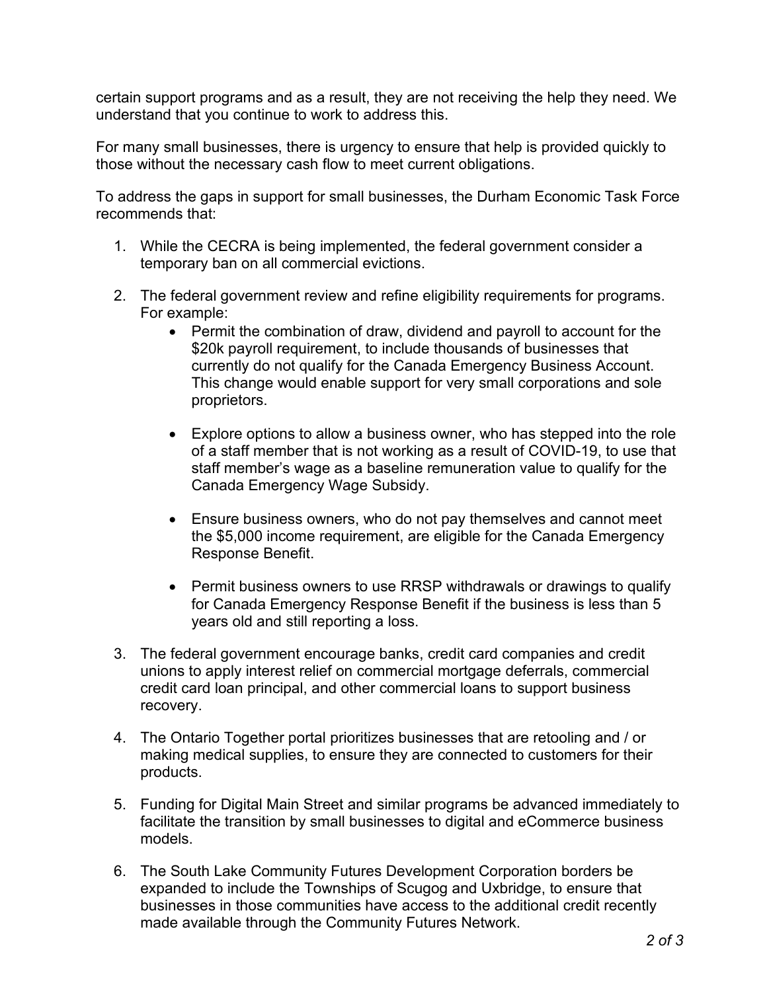certain support programs and as a result, they are not receiving the help they need. We understand that you continue to work to address this.

For many small businesses, there is urgency to ensure that help is provided quickly to those without the necessary cash flow to meet current obligations.

To address the gaps in support for small businesses, the Durham Economic Task Force recommends that:

- 1. While the CECRA is being implemented, the federal government consider a temporary ban on all commercial evictions.
- 2. The federal government review and refine eligibility requirements for programs. For example:
	- Permit the combination of draw, dividend and payroll to account for the \$20k payroll requirement, to include thousands of businesses that currently do not qualify for the Canada Emergency Business Account. This change would enable support for very small corporations and sole proprietors.
	- Explore options to allow a business owner, who has stepped into the role of a staff member that is not working as a result of COVID-19, to use that staff member's wage as a baseline remuneration value to qualify for the Canada Emergency Wage Subsidy.
	- Ensure business owners, who do not pay themselves and cannot meet the \$5,000 income requirement, are eligible for the Canada Emergency Response Benefit.
	- Permit business owners to use RRSP withdrawals or drawings to qualify for Canada Emergency Response Benefit if the business is less than 5 years old and still reporting a loss.
- 3. The federal government encourage banks, credit card companies and credit unions to apply interest relief on commercial mortgage deferrals, commercial credit card loan principal, and other commercial loans to support business recovery.
- 4. The Ontario Together portal prioritizes businesses that are retooling and / or making medical supplies, to ensure they are connected to customers for their products.
- 5. Funding for Digital Main Street and similar programs be advanced immediately to facilitate the transition by small businesses to digital and eCommerce business models.
- 6. The South Lake Community Futures Development Corporation borders be expanded to include the Townships of Scugog and Uxbridge, to ensure that businesses in those communities have access to the additional credit recently made available through the Community Futures Network.